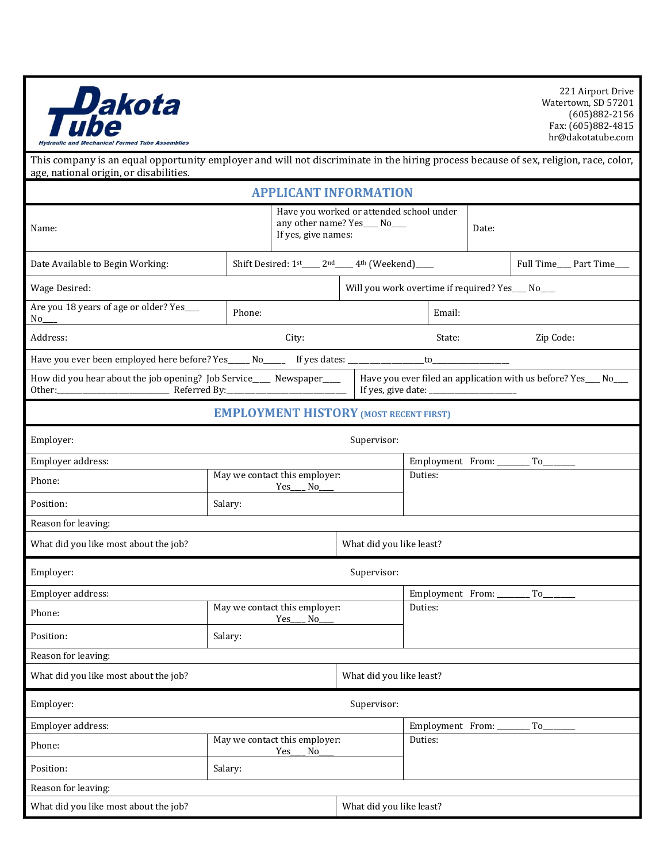

Watertown, SD 57201 (605)882-2156 Fax: (605)882-4815

hr@dakotatube.com echanical Formed Tube Assemblies This company is an equal opportunity employer and will not discriminate in the hiring process because of sex, religion, race, color, age, national origin, or disabilities. **APPLICANT INFORMATION** Have you worked or attended school under any other name? Yes\_\_\_\_ No\_\_\_\_ Name: dif yes, give names:  $\frac{1}{2}$  NO<sub>---</sub><br>If yes, give names: Date Available to Begin Working:  $\begin{array}{|l|}\n\hline\n\end{array}$  Shift Desired: 1st\_\_\_\_ 2nd\_\_\_\_ 4th (Weekend)\_\_\_\_ Full Time\_\_\_ Part Time\_\_\_ Wage Desired: Notice that the state of the Will you work overtime if required? Yes Notice No. 1993. Are you 18 years of age or older? Yes Phone: Email:  $No_$ Address: City: State: Zip Code: Have you ever been employed here before? Yes\_\_\_\_\_ No\_\_\_\_\_\_ If yes dates: \_\_\_\_\_\_\_\_\_\_\_\_\_\_\_to\_ How did you hear about the job opening? Job Service\_\_\_\_\_ Newspaper\_\_\_\_\_ Have you ever filed an application with us before? Yes\_\_\_ No\_\_\_ Other:\_\_\_\_\_\_\_\_\_\_\_\_\_\_\_\_\_\_\_\_\_\_\_\_\_\_\_\_\_\_\_ Referred By:\_\_\_\_\_\_\_\_\_\_\_\_\_\_\_\_\_\_\_\_\_\_\_\_\_\_\_\_\_\_\_\_\_ If yes, give date: \_ **EMPLOYMENT HISTORY (MOST RECENT FIRST)** Employer: Supervisor: Supervisor: Supervisor: Supervisor: Supervisor: Supervisor: Supervisor: Supervisor: Supervisor: Supervisor: Supervisor: Supervisor: Supervisor: Supervisor: Supervisor: Supervisor: Supervisor: Supervis Employer address: The employer address: The employer address: The employer address: The employee address: The employee and the employee and the employee and the employee and the employee and the employee and the employee a Phone: May we contact this employer: Duties: Yes No Position: Salary: Reason for leaving: What did you like most about the job? Noting the set of the least? Employer: Supervisor: Supervisor: Supervisor: Supervisor: Supervisor: Supervisor: Supervisor: Supervisor: Supervisor: Supervisor: Supervisor: Supervisor: Supervisor: Supervisor: Supervisor: Supervisor: Supervisor: Supervis Employer address: The employer address: The employer address: The employer address: The employee address: The employee  $\Gamma$ Phone: May we contact this employer: Duties: Yes No Position: Salary: Reason for leaving: What did you like most about the job? What did you like least? Employer: Supervisor: Supervisor: Supervisor: Supervisor: Supervisor: Supervisor: Supervisor: Supervisor: Supervisor: Supervisor: Supervisor: Supervisor: Supervisor: Supervisor: Supervisor: Supervisor: Supervisor: Supervis Employer address:  $\begin{array}{ccc}\n\hline\n\end{array}$  Employment From: \_\_\_\_\_\_\_\_\_ To\_ Phone: May we contact this employer: Duties: Yes\_\_\_\_ No\_ Position: Salary:

Reason for leaving:

What did you like most about the job? Noting the set of the set of the least?